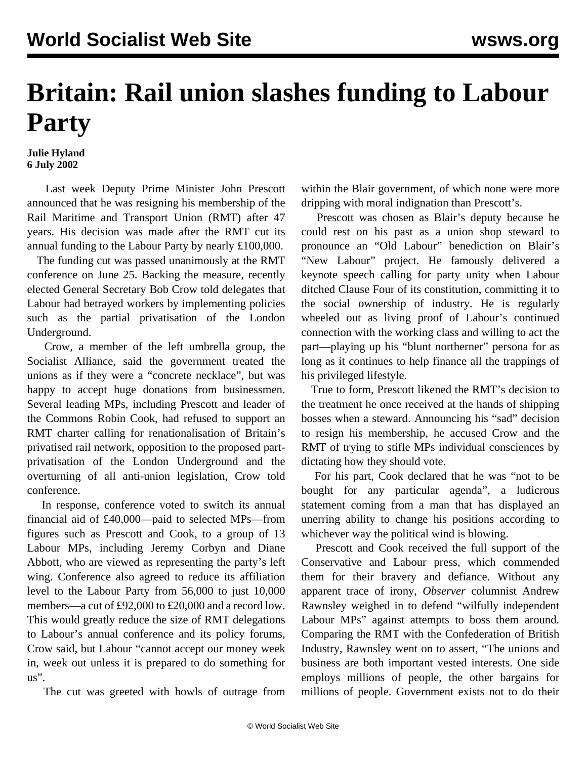## **Britain: Rail union slashes funding to Labour Party**

## **Julie Hyland 6 July 2002**

 Last week Deputy Prime Minister John Prescott announced that he was resigning his membership of the Rail Maritime and Transport Union (RMT) after 47 years. His decision was made after the RMT cut its annual funding to the Labour Party by nearly £100,000.

 The funding cut was passed unanimously at the RMT conference on June 25. Backing the measure, recently elected General Secretary Bob Crow told delegates that Labour had betrayed workers by implementing policies such as the partial privatisation of the London Underground.

 Crow, a member of the left umbrella group, the Socialist Alliance, said the government treated the unions as if they were a "concrete necklace", but was happy to accept huge donations from businessmen. Several leading MPs, including Prescott and leader of the Commons Robin Cook, had refused to support an RMT charter calling for renationalisation of Britain's privatised rail network, opposition to the proposed partprivatisation of the London Underground and the overturning of all anti-union legislation, Crow told conference.

 In response, conference voted to switch its annual financial aid of £40,000—paid to selected MPs—from figures such as Prescott and Cook, to a group of 13 Labour MPs, including Jeremy Corbyn and Diane Abbott, who are viewed as representing the party's left wing. Conference also agreed to reduce its affiliation level to the Labour Party from 56,000 to just 10,000 members—a cut of £92,000 to £20,000 and a record low. This would greatly reduce the size of RMT delegations to Labour's annual conference and its policy forums, Crow said, but Labour "cannot accept our money week in, week out unless it is prepared to do something for us".

The cut was greeted with howls of outrage from

within the Blair government, of which none were more dripping with moral indignation than Prescott's.

 Prescott was chosen as Blair's deputy because he could rest on his past as a union shop steward to pronounce an "Old Labour" benediction on Blair's "New Labour" project. He famously delivered a keynote speech calling for party unity when Labour ditched Clause Four of its constitution, committing it to the social ownership of industry. He is regularly wheeled out as living proof of Labour's continued connection with the working class and willing to act the part—playing up his "blunt northerner" persona for as long as it continues to help finance all the trappings of his privileged lifestyle.

 True to form, Prescott likened the RMT's decision to the treatment he once received at the hands of shipping bosses when a steward. Announcing his "sad" decision to resign his membership, he accused Crow and the RMT of trying to stifle MPs individual consciences by dictating how they should vote.

 For his part, Cook declared that he was "not to be bought for any particular agenda", a ludicrous statement coming from a man that has displayed an unerring ability to change his positions according to whichever way the political wind is blowing.

 Prescott and Cook received the full support of the Conservative and Labour press, which commended them for their bravery and defiance. Without any apparent trace of irony, *Observer* columnist Andrew Rawnsley weighed in to defend "wilfully independent Labour MPs" against attempts to boss them around. Comparing the RMT with the Confederation of British Industry, Rawnsley went on to assert, "The unions and business are both important vested interests. One side employs millions of people, the other bargains for millions of people. Government exists not to do their